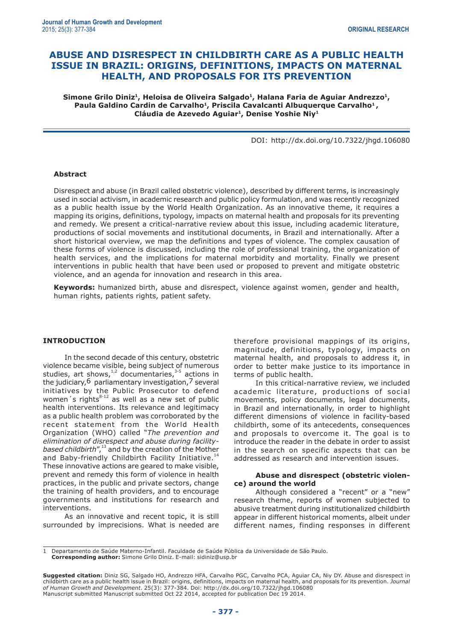# **ABUSE AND DISRESPECT IN CHILDBIRTH CARE AS A PUBLIC HEALTH ISSUE IN BRAZIL: ORIGINS, DEFINITIONS, IMPACTS ON MATERNAL HEALTH, AND PROPOSALS FOR ITS PREVENTION**

Simone Grilo Diniz<sup>1</sup>, Heloisa de Oliveira Salgado<sup>1</sup>, Halana Faria de Aguiar Andrezzo<sup>1</sup>, **Paula Galdino Cardin de Carvalho1, Priscila Cavalcanti Albuquerque Carvalho1 , Cláudia de Azevedo Aguiar1, Denise Yoshie Niy1**

DOI: http://dx.doi.org/10.7322/jhgd.106080

### **Abstract**

Disrespect and abuse (in Brazil called obstetric violence), described by different terms, is increasingly used in social activism, in academic research and public policy formulation, and was recently recognized as a public health issue by the World Health Organization. As an innovative theme, it requires a mapping its origins, definitions, typology, impacts on maternal health and proposals for its preventing and remedy. We present a critical-narrative review about this issue, including academic literature, productions of social movements and institutional documents, in Brazil and internationally. After a short historical overview, we map the definitions and types of violence. The complex causation of these forms of violence is discussed, including the role of professional training, the organization of health services, and the implications for maternal morbidity and mortality. Finally we present interventions in public health that have been used or proposed to prevent and mitigate obstetric violence, and an agenda for innovation and research in this area.

**Keywords:** humanized birth, abuse and disrespect, violence against women, gender and health, human rights, patients rights, patient safety.

# **INTRODUCTION**

In the second decade of this century, obstetric violence became visible, being subject of numerous studies, art shows,  $1/2$  documentaries,  $3-5$  actions in the judiciary,  $6$  parliamentary investigation,  $7$  several initiatives by the Public Prosecutor to defend women's rights $8-12$  as well as a new set of public health interventions. Its relevance and legitimacy as a public health problem was corroborated by the recent statement from the World Health Organization (WHO) called "*The prevention and elimination of disrespect and abuse during facility*based childbirth",<sup>13</sup> and by the creation of the Mother and Baby-friendly Childbirth Facility Initiative.<sup>1</sup> These innovative actions are geared to make visible, prevent and remedy this form of violence in health practices, in the public and private sectors, change the training of health providers, and to encourage governments and institutions for research and interventions.

As an innovative and recent topic, it is still surrounded by imprecisions. What is needed are

therefore provisional mappings of its origins, magnitude, definitions, typology, impacts on maternal health, and proposals to address it, in order to better make justice to its importance in terms of public health.

In this critical-narrative review, we included academic literature, productions of social movements, policy documents, legal documents, in Brazil and internationally, in order to highlight different dimensions of violence in facility-based childbirth, some of its antecedents, consequences and proposals to overcome it. The goal is to introduce the reader in the debate in order to assist in the search on specific aspects that can be addressed as research and intervention issues.

# **Abuse and disrespect (obstetric violence) around the world**

Although considered a "recent" or a "new" research theme, reports of women subjected to abusive treatment during institutionalized childbirth appear in different historical moments, albeit under different names, finding responses in different

<sup>1</sup> Departamento de Saúde Materno-Infantil. Faculdade de Saúde Pública da Universidade de São Paulo. **Corresponding author:** Simone Grilo Diniz. E-mail: sidiniz@usp.br

**Suggested citation:** Diniz SG, Salgado HO, Andrezzo HFA, Carvalho PGC, Carvalho PCA, Aguiar CA, Niy DY. Abuse and disrespect in childbirth care as a public health issue in Brazil: origins, definitions, impacts on maternal health, and proposals for its prevention. *Journal of Human Growth and Development*. 25(3): 377-384. Doi: http://dx.doi.org/10.7322/jhgd.106080 Manuscript submitted Manuscript submitted Oct 22 2014, accepted for publication Dec 19 2014.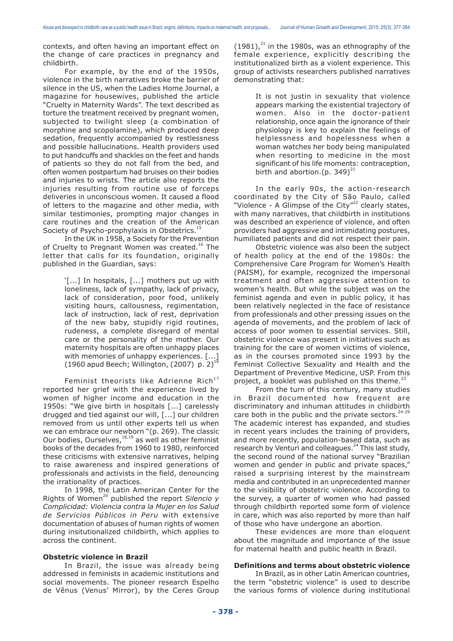contexts, and often having an important effect on the change of care practices in pregnancy and childbirth.

For example, by the end of the 1950s, violence in the birth narratives broke the barrier of silence in the US, when the Ladies Home Journal, a magazine for housewives, published the article "Cruelty in Maternity Wards". The text described as torture the treatment received by pregnant women, subjected to twilight sleep (a combination of morphine and scopolamine), which produced deep sedation, frequently accompanied by restlessness and possible hallucinations. Health providers used to put handcuffs and shackles on the feet and hands of patients so they do not fall from the bed, and often women postpartum had bruises on their bodies and injuries to wrists. The article also reports the injuries resulting from routine use of forceps deliveries in unconscious women. It caused a flood of letters to the magazine and other media, with similar testimonies, prompting major changes in care routines and the creation of the American Society of Psycho-prophylaxis in Obstetrics.<sup>15</sup>

In the UK in 1958, a Society for the Prevention of Cruelty to Pregnant Women was created.<sup>16</sup> The letter that calls for its foundation, originally published in the Guardian, says:

> '[...] In hospitals, [...] mothers put up with loneliness, lack of sympathy, lack of privacy, lack of consideration, poor food, unlikely visiting hours, callousness, regimentation, lack of instruction, lack of rest, deprivation of the new baby, stupidly rigid routines, rudeness, a complete disregard of mental care or the personality of the mother. Our maternity hospitals are often unhappy places with memories of unhappy experiences.  $[\dots]$ (1960 apud Beech; Willington, (2007) p. 2)16

Feminist theorists like Adrienne Rich<sup>17</sup> reported her grief with the experience lived by women of higher income and education in the 1950s: "We give birth in hospitals [...] carelessly drugged and tied against our will, [...] our children removed from us until other experts tell us when we can embrace our newborn "(p. 269). The classic Our bodies, Ourselves,  $18,19$  as well as other feminist books of the decades from 1960 to 1980, reinforced these criticisms with extensive narratives, helping to raise awareness and inspired generations of professionals and activists in the field, denouncing the irrationality of practices.

In 1998, the Latin American Center for the Rights of Women<sup>20</sup> published the report *Silencio y Complicidad: Violencia contra la Mujer en los Salud de Servicios Públicos in Peru* with extensive documentation of abuses of human rights of women during insitutionalized childbirth, which applies to across the continent.

#### **Obstetric violence in Brazil**

In Brazil, the issue was already being addressed in feminists in academic institutions and social movements. The pioneer research Espelho de Vênus (Venus' Mirror), by the Ceres Group

 $(1981)<sup>21</sup>$  in the 1980s, was an ethnography of the female experience, explicitly describing the institutionalized birth as a violent experience. This group of activists researchers published narratives demonstrating that:

> It is not justin in sexuality that violence appears marking the existential trajectory of women. Also in the doctor-patient relationship, once again the ignorance of their physiology is key to explain the feelings of helplessness and hopelessness when a woman watches her body being manipulated when resorting to medicine in the most significant of his life moments: contraception, birth and abortion.(p. 349) $^{21}$

In the early 90s, the action-research coordinated by the City of São Paulo, called "Violence - A Glimpse of the City"<sup>22</sup> clearly states, with many narratives, that childbirth in institutions was described an experience of violence, and often providers had aggressive and intimidating postures, humiliated patients and did not respect their pain.

Obstetric violence was also been the subject of health policy at the end of the 1980s: the Comprehensive Care Program for Women's Health (PAISM), for example, recognized the impersonal treatment and often aggressive attention to women's health. But while the subject was on the feminist agenda and even in public policy, it has been relatively neglected in the face of resistance from professionals and other pressing issues on the agenda of movements, and the problem of lack of access of poor women to essential services. Still, obstetric violence was present in initiatives such as training for the care of women victims of violence, as in the courses promoted since 1993 by the Feminist Collective Sexuality and Health and the Department of Preventive Medicine, USP. From this project, a booklet was published on this theme. $^{23}$ 

From the turn of this century, many studies in Brazil documented how frequent are discriminatory and inhuman attitudes in childbirth care both in the public and the private sectors. $24-29$ The academic interest has expanded, and studies in recent years includes the training of providers, and more recently, population-based data, such as research by Venturi and colleagues.<sup>24</sup> This last study, the second round of the national survey "Brazilian women and gender in public and private spaces," raised a surprising interest by the mainstream media and contributed in an unprecedented manner to the visibility of obstetric violence. According to the survey, a quarter of women who had passed through childbirth reported some form of violence in care, which was also reported by more than half of those who have undergone an abortion.

These evidences are more than eloquent about the magnitude and importance of the issue for maternal health and public health in Brazil.

#### **Definitions and terms about obstetric violence**

In Brazil, as in other Latin American countries, the term "obstetric violence" is used to describe the various forms of violence during institutional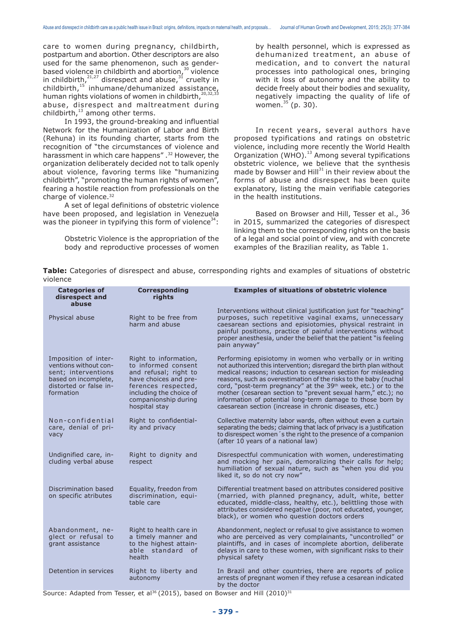care to women during pregnancy, childbirth, postpartum and abortion. Other descriptors are also used for the same phenomenon, such as genderbased violence in childbirth and abortion, $30$  violence in childbirth, $2^{1,27}$  disrespect and abuse, $3^1$  cruelty in childbirth, $15$  inhumane/dehumanized assistance, human rights violations of women in childbirth, $2^{0,32,33}$ abuse, disrespect and maltreatment during childbirth,<sup>13</sup> among other terms.

In 1993, the ground-breaking and influential Network for the Humanization of Labor and Birth (Rehuna) in its founding charter, starts from the recognition of "the circumstances of violence and harassment in which care happens".<sup>32</sup> However, the organization deliberately decided not to talk openly about violence, favoring terms like "humanizing childbirth", "promoting the human rights of women", fearing a hostile reaction from professionals on the charge of violence.<sup>32</sup>

A set of legal definitions of obstetric violence have been proposed, and legislation in Venezuela was the pioneer in typifying this form of violence<sup>34</sup>:

> Obstetric Violence is the appropriation of the body and reproductive processes of women

by health personnel, which is expressed as dehumanized treatment, an abuse of medication, and to convert the natural processes into pathological ones, bringing with it loss of autonomy and the ability to decide freely about their bodies and sexuality, negatively impacting the quality of life of women. $35$  (p. 30).

In recent years, several authors have proposed typifications and ratings on obstetric violence, including more recently the World Health Organization (WHO). $^{13}$  Among several typifications obstetric violence, we believe that the synthesis made by Bowser and Hill $31$  in their review about the forms of abuse and disrespect has been quite explanatory, listing the main verifiable categories in the health institutions.

Based on Browser and Hill, Tesser et al., 36 in 2015, summarized the categories of disrespect linking them to the corresponding rights on the basis of a legal and social point of view, and with concrete examples of the Brazilian reality, as Table 1.

|          |  |  | Table: Categories of disrespect and abuse, corresponding rights and examples of situations of obstetric |  |  |  |  |
|----------|--|--|---------------------------------------------------------------------------------------------------------|--|--|--|--|
| violence |  |  |                                                                                                         |  |  |  |  |

| <b>Categories of</b><br>disrespect and<br>abuse                                                                                     | <b>Corresponding</b><br>rights                                                                                                                                                            | <b>Examples of situations of obstetric violence</b>                                                                                                                                                                                                                                                                                                                                                                                                                                                                                       |  |  |  |  |  |  |
|-------------------------------------------------------------------------------------------------------------------------------------|-------------------------------------------------------------------------------------------------------------------------------------------------------------------------------------------|-------------------------------------------------------------------------------------------------------------------------------------------------------------------------------------------------------------------------------------------------------------------------------------------------------------------------------------------------------------------------------------------------------------------------------------------------------------------------------------------------------------------------------------------|--|--|--|--|--|--|
| Physical abuse                                                                                                                      | Right to be free from<br>harm and abuse                                                                                                                                                   | Interventions without clinical justification just for "teaching"<br>purposes, such repetitive vaginal exams, unnecessary<br>caesarean sections and episiotomies, physical restraint in<br>painful positions, practice of painful interventions without<br>proper anesthesia, under the belief that the patient "is feeling<br>pain anyway"                                                                                                                                                                                                |  |  |  |  |  |  |
| Imposition of inter-<br>ventions without con-<br>sent; interventions<br>based on incomplete,<br>distorted or false in-<br>formation | Right to information,<br>to informed consent<br>and refusal; right to<br>have choices and pre-<br>ferences respected,<br>including the choice of<br>companionship during<br>hospital stay | Performing episiotomy in women who verbally or in writing<br>not authorized this intervention; disregard the birth plan without<br>medical reasons; induction to cesarean section for misleading<br>reasons, such as overestimation of the risks to the baby (nuchal<br>cord, "post-term pregnancy" at the 39 <sup>th</sup> week, etc.) or to the<br>mother (cesarean section to "prevent sexual harm," etc.); no<br>information of potential long-term damage to those born by<br>caesarean section (increase in chronic diseases, etc.) |  |  |  |  |  |  |
| Non-confidential<br>care, denial of pri-<br>vacy                                                                                    | Right to confidential-<br>ity and privacy                                                                                                                                                 | Collective maternity labor wards, often without even a curtain<br>separating the beds; claiming that lack of privacy is a justification<br>to disrespect women 's the right to the presence of a companion<br>(after 10 years of a national law)                                                                                                                                                                                                                                                                                          |  |  |  |  |  |  |
| Undignified care, in-<br>cluding verbal abuse                                                                                       | Right to dignity and<br>respect                                                                                                                                                           | Disrespectful communication with women, underestimating<br>and mocking her pain, demoralizing their calls for help;<br>humiliation of sexual nature, such as "when you did you<br>liked it, so do not cry now"                                                                                                                                                                                                                                                                                                                            |  |  |  |  |  |  |
| Discrimination based<br>on specific atributes                                                                                       | Equality, freedon from<br>discrimination, equi-<br>table care                                                                                                                             | Differential treatment based on attributes considered positive<br>(married, with planned pregnancy, adult, white, better<br>educated, middle-class, healthy, etc.), belittling those with<br>attributes considered negative (poor, not educated, younger,<br>black), or women who question doctors orders                                                                                                                                                                                                                                 |  |  |  |  |  |  |
| Abandonment, ne-<br>glect or refusal to<br>grant assistance                                                                         | Right to health care in<br>a timely manner and<br>to the highest attain-<br>able standard<br>0f<br>health                                                                                 | Abandonment, neglect or refusal to give assistance to women<br>who are perceived as very complainants, "uncontrolled" or<br>plaintiffs, and in cases of incomplete abortion, deliberate<br>delays in care to these women, with significant risks to their<br>physical safety                                                                                                                                                                                                                                                              |  |  |  |  |  |  |
| Detention in services                                                                                                               | Right to liberty and<br>autonomy                                                                                                                                                          | In Brazil and other countries, there are reports of police<br>arrests of pregnant women if they refuse a cesarean indicated<br>by the doctor                                                                                                                                                                                                                                                                                                                                                                                              |  |  |  |  |  |  |

Source: Adapted from Tesser, et al<sup>36</sup> (2015), based on Bowser and Hill (2010)<sup>31</sup>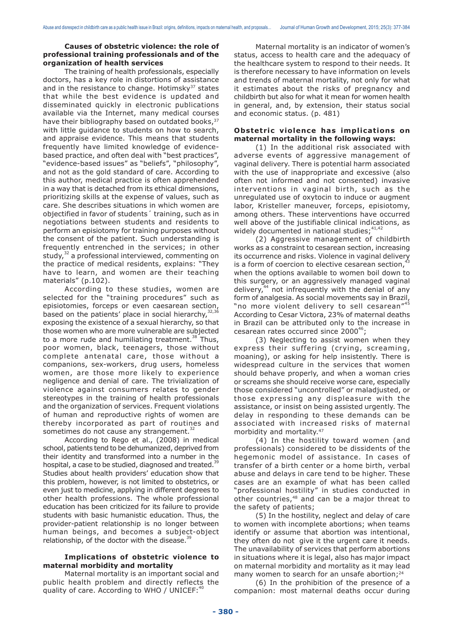# **Causes of obstetric violence: the role of professional training professionals and of the organization of health services**

The training of health professionals, especially doctors, has a key role in distortions of assistance and in the resistance to change. Hotimsky<sup>37</sup> states that while the best evidence is updated and disseminated quickly in electronic publications available via the Internet, many medical courses have their bibliography based on outdated books, 37 with little quidance to students on how to search, and appraise evidence. This means that students frequently have limited knowledge of evidencebased practice, and often deal with "best practices", "evidence-based issues" as "beliefs", "philosophy", and not as the gold standard of care. According to this author, medical practice is often apprehended in a way that is detached from its ethical dimensions, prioritizing skills at the expense of values, such as care. She describes situations in which women are objectified in favor of students´ training, such as in negotiations between students and residents to perform an episiotomy for training purposes without the consent of the patient. Such understanding is frequently entrenched in the services; in other study, $32$  a professional interviewed, commenting on the practice of medical residents, explains: "They have to learn, and women are their teaching materials" (p.102).

According to these studies, women are selected for the "training procedures" such as episiotomies, forceps or even caesarean section, based on the patients' place in social hierarchy,  $32,36$ exposing the existence of a sexual hierarchy, so that those women who are more vulnerable are subjected to a more rude and humiliating treatment. $38$ <sup>-</sup>Thus, poor women, black, teenagers, those without complete antenatal care, those without a companions, sex-workers, drug users, homeless women, are those more likely to experience negligence and denial of care. The trivialization of violence against consumers relates to gender stereotypes in the training of health professionals and the organization of services. Frequent violations of human and reproductive rights of women are thereby incorporated as part of routines and sometimes do not cause any strangement.<sup>32</sup>

According to Rego et al., (2008) in medical school, patients tend to be dehumanized, deprived from their identity and transformed into a number in the hospital, a case to be studied, diagnosed and treated.<sup>39</sup> Studies about health providers' education show that this problem, however, is not limited to obstetrics, or even just to medicine, applying in different degrees to other health professions. The whole professional education has been criticized for its failure to provide students with basic humanistic education. Thus, the provider-patient relationship is no longer between human beings, and becomes a subject-object relationship, of the doctor with the disease. $39$ 

#### **Implications of obstetric violence to maternal morbidity and mortality**

Maternal mortality is an important social and public health problem and directly reflects the quality of care. According to WHO / UNICEF:<sup>4</sup>

Maternal mortality is an indicator of women's status, access to health care and the adequacy of the healthcare system to respond to their needs. It is therefore necessary to have information on levels and trends of maternal mortality, not only for what it estimates about the risks of pregnancy and childbirth but also for what it mean for women health in general, and, by extension, their status social and economic status. (p. 481)

#### **Obstetric violence has implications on maternal mortality in the following ways:**

(1) In the additional risk associated with adverse events of aggressive management of vaginal delivery. There is potential harm associated with the use of inappropriate and excessive (also often not informed and not consented) invasive interventions in vaginal birth, such as the unregulated use of oxytocin to induce or augment labor, Kristeller maneuver, forceps, episiotomy, among others. These interventions have occurred well above of the justifiable clinical indications, as widely documented in national studies:  $41,42$ 

(2) Aggressive management of childbirth works as a constraint to cesarean section, increasing its occurrence and risks. Violence in vaginal delivery is a form of coercion to elective cesarean section, when the options available to women boil down to this surgery, or an aggressively managed vaginal delivery, $44$  not infrequently with the denial of any form of analgesia. As social movements say in Brazil, "no more violent delivery to sell cesarean"<sup>45</sup> According to Cesar Victora, 23% of maternal deaths in Brazil can be attributed only to the increase in cesarean rates occurred since  $2000^{46}$ ;

(3) Neglecting to assist women when they express their suffering (crying, screaming, moaning), or asking for help insistently. There is widespread culture in the services that women should behave properly, and when a woman cries or screams she should receive worse care, especially those considered "uncontrolled" or maladjusted, or those expressing any displeasure with the assistance, or insist on being assisted urgently. The delay in responding to these demands can be associated with increased risks of maternal morbidity and mortality.47

(4) In the hostility toward women (and professionals) considered to be dissidents of the hegemonic model of assistance. In cases of transfer of a birth center or a home birth, verbal abuse and delays in care tend to be higher. These cases are an example of what has been called "professional hostility" in studies conducted in other countries, $48$  and can be a major threat to the safety of patients;

(5) In the hostility, neglect and delay of care to women with incomplete abortions; when teams identify or assume that abortion was intentional, they often do not give it the urgent care it needs. The unavailability of services that perform abortions in situations where it is legal, also has major impact on maternal morbidity and mortality as it may lead many women to search for an unsafe abortion;<sup>24</sup>

(6) In the prohibition of the presence of a companion: most maternal deaths occur during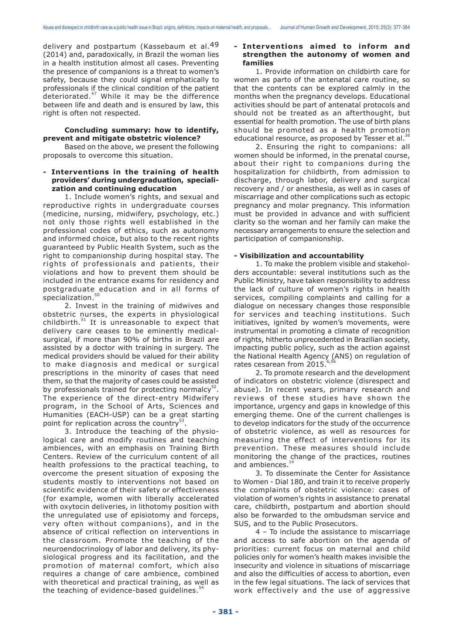delivery and postpartum (Kassebaum et al.49 (2014) and, paradoxically, in Brazil the woman lies in a health institution almost all cases. Preventing the presence of companions is a threat to women's safety, because they could signal emphatically to professionals if the clinical condition of the patient deteriorated.<sup>47</sup> While it may be the difference between life and death and is ensured by law, this right is often not respected.

# **Concluding summary: how to identify, prevent and mitigate obstetric violence?**

Based on the above, we present the following proposals to overcome this situation.

## **- Interventions in the training of health providers' during undergraduation, specialization and continuing education**

1. Include women's rights, and sexual and reproductive rights in undergraduate courses (medicine, nursing, midwifery, psychology, etc.) not only those rights well established in the professional codes of ethics, such as autonomy and informed choice, but also to the recent rights guaranteed by Public Health System, such as the right to companionship during hospital stay. The rights of professionals and patients, their violations and how to prevent them should be included in the entrance exams for residency and postgraduate education and in all forms of specialization.<sup>50</sup>

2. Invest in the training of midwives and obstetric nurses, the experts in physiological childbirth. $51$  It is unreasonable to expect that delivery care ceases to be eminently medicalsurgical, if more than 90% of births in Brazil are assisted by a doctor with training in surgery. The medical providers should be valued for their ability to make diagnosis and medical or surgical prescriptions in the minority of cases that need them, so that the majority of cases could be assisted by professionals trained for protecting normalcy $52$ . The experience of the direct-entry Midwifery program, in the School of Arts, Sciences and Humanities (EACH-USP) can be a great starting point for replication across the country<sup>5</sup>

3. Introduce the teaching of the physiological care and modify routines and teaching ambiences, with an emphasis on Training Birth Centers. Review of the curriculum content of all health professions to the practical teaching, to overcome the present situation of exposing the students mostly to interventions not based on scientific evidence of their safety or effectiveness (for example, women with liberally accelerated with oxytocin deliveries, in lithotomy position with the unregulated use of episiotomy and forceps, very often without companions), and in the absence of critical reflection on interventions in the classroom. Promote the teaching of the neuroendocrinology of labor and delivery, its physiological progress and its facilitation, and the promotion of maternal comfort, which also requires a change of care ambience, combined with theoretical and practical training, as well as the teaching of evidence-based guidelines.<sup>5</sup>

# **- Interventions aimed to inform and strengthen the autonomy of women and families**

1. Provide information on childbirth care for women as parto of the antenatal care routine, so that the contents can be explored calmly in the months when the pregnancy develops. Educational activities should be part of antenatal protocols and should not be treated as an afterthought, but essential for health promotion. The use of birth plans should be promoted as a health promotion educational resource, as proposed by Tesser et al.<sup>36</sup>

2. Ensuring the right to companions: all women should be informed, in the prenatal course, about their right to companions during the hospitalization for childbirth, from admission to discharge, through labor, delivery and surgical recovery and / or anesthesia, as well as in cases of miscarriage and other complications such as ectopic pregnancy and molar pregnancy. This information must be provided in advance and with sufficient clarity so the woman and her family can make the necessary arrangements to ensure the selection and participation of companionship.

# **- Visibilization and accountability**

1. To make the problem visible and stakeholders accountable: several institutions such as the Public Ministry, have taken responsibility to address the lack of culture of women's rights in health services, compiling complaints and calling for a dialogue on necessary changes those responsible for services and teaching institutions. Such initiatives, ignited by women's movements, were instrumental in promoting a climate of recognition of rights, hitherto unprecedented in Brazilian society, impacting public policy, such as the action against the National Health Agency (ANS) on regulation of rates cesarean from 2015.

2. To promote research and the development of indicators on obstetric violence (disrespect and abuse). In recent years, primary research and reviews of these studies have shown the importance, urgency and gaps in knowledge of this emerging theme. One of the current challenges is to develop indicators for the study of the occurrence of obstetric violence, as well as resources for measuring the effect of interventions for its prevention. These measures should include monitoring the change of the practices, routines and ambiences.<sup>14</sup>

3. To disseminate the Center for Assistance to Women - Dial 180, and train it to receive properly the complaints of obstetric violence: cases of violation of women's rights in assistance to prenatal care, childbirth, postpartum and abortion should also be forwarded to the ombudsman service and SUS, and to the Public Prosecutors.

4 – To include the assistance to miscarriage and access to safe abortion on the agenda of priorities: current focus on maternal and child policies only for women's health makes invisible the insecurity and violence in situations of miscarriage and also the difficulties of access to abortion, even in the few legal situations. The lack of services that work effectively and the use of aggressive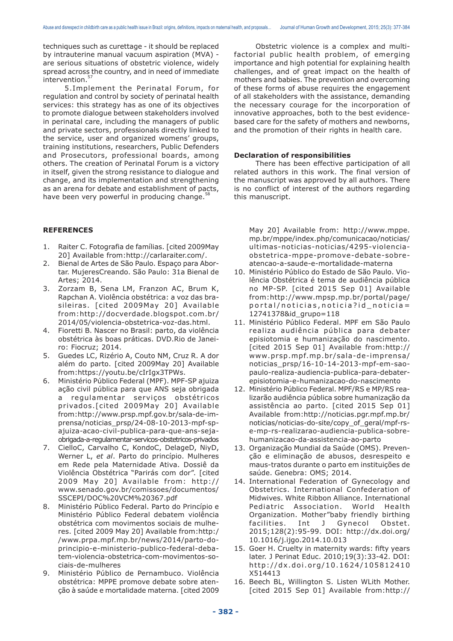techniques such as curettage - it should be replaced by intrauterine manual vacuum aspiration (MVA) are serious situations of obstetric violence, widely spread across the country, and in need of immediate intervention.<sup>57</sup>

5.Implement the Perinatal Forum, for regulation and control by society of perinatal health services: this strategy has as one of its objectives to promote dialogue between stakeholders involved in perinatal care, including the managers of public and private sectors, professionals directly linked to the service, user and organized womens' groups, training institutions, researchers, Public Defenders and Prosecutors, professional boards, among others. The creation of Perinatal Forum is a victory in itself, given the strong resistance to dialogue and change, and its implementation and strengthening as an arena for debate and establishment of pacts, have been very powerful in producing change.<sup>5</sup>

# **REFERENCES**

- 1. Raiter C. Fotografia de famílias. [cited 2009May 20] Available from:http://carlaraiter.com/.
- 2. Bienal de Artes de São Paulo. Espaço para Abortar. MujeresCreando. São Paulo: 31a Bienal de Artes; 2014.
- 3. Zorzam B, Sena LM, Franzon AC, Brum K, Rapchan A. Violência obstétrica: a voz das brasileiras. [cited 2009May 20] Available from:http://docverdade.blogspot.com.br/ 2014/05/violencia-obstetrica-voz-das.html.
- 4. Fioretti B. Nascer no Brasil: parto, da violência obstétrica às boas práticas. DVD.Rio de Janeiro: Fiocruz; 2014.
- 5. Guedes LC, Rizério A, Couto NM, Cruz R. A dor além do parto. [cited 2009May 20] Available from:https://youtu.be/cIrIgx3TPWs.
- 6. Ministério Público Federal (MPF). MPF-SP ajuiza ação civil pública para que ANS seja obrigada a regulamentar serviços obstétricos privados.[cited 2009May 20] Available from:http://www.prsp.mpf.gov.br/sala-de-imprensa/noticias\_prsp/24-08-10-2013-mpf-spajuiza-acao-civil-publica-para-que-ans-sejaobrigada-a-regulamentar-servicos-obstetricos-privados
- 7. CielloC, Carvalho C, KondoC, DelageD, NiyD, Werner L, *et al*. Parto do princípio. Mulheres em Rede pela Maternidade Ativa. Dossiê da Violência Obstétrica "Parirás com dor". [cited 2009 May 20] Available from: http:// www.senado.gov.br/comissoes/documentos/ SSCEPI/DOC%20VCM%20367.pdf
- 8. Ministério Público Federal. Parto do Princípio e Ministério Público Federal debatem violência obstétrica com movimentos sociais de mulheres. [cited 2009 May 20] Available from:http:/ /www.prpa.mpf.mp.br/news/2014/parto-doprincipio-e-ministerio-publico-federal-debatem-violencia-obstetrica-com-movimentos-sociais-de-mulheres
- 9. Ministério Público de Pernambuco. Violência obstétrica: MPPE promove debate sobre atenção à saúde e mortalidade materna. [cited 2009

Obstetric violence is a complex and multifactorial public health problem, of emerging importance and high potential for explaining health challenges, and of great impact on the health of mothers and babies. The prevention and overcoming of these forms of abuse requires the engagement of all stakeholders with the assistance, demanding the necessary courage for the incorporation of innovative approaches, both to the best evidencebased care for the safety of mothers and newborns, and the promotion of their rights in health care.

#### **Declaration of responsibilities**

There has been effective participation of all related authors in this work. The final version of the manuscript was approved by all authors. There is no conflict of interest of the authors regarding this manuscript.

May 20] Available from: http://www.mppe. mp.br/mppe/index.php/comunicacao/noticias/ ultimas-noticias-noticias/4295-violenciaobstetrica-mppe-promove-debate-sobreatencao-a-saude-e-mortalidade-materna

- 10. Ministério Público do Estado de São Paulo. Violência Obstétrica é tema de audiência pública no MP-SP. [cited 2015 Sep 01] Available from:http://www.mpsp.mp.br/portal/page/ portal/noticias,noticia?id\_noticia= 12741378&id\_grupo=118
- 11. Ministério Público Federal. MPF em São Paulo realiza audiência pública para debater episiotomia e humanização do nascimento. [cited 2015 Sep 01] Available from:http:// www.prsp.mpf.mp.br/sala-de-imprensa/ noticias\_prsp/16-10-14-2013-mpf-em-saopaulo-realiza-audiencia-publica-para-debaterepisiotomia-e-humanizacao-do-nascimento
- 12. Ministério Público Federal. MPF/RS e MP/RS realizarão audiência pública sobre humanização da assistência ao parto. [cited 2015 Sep 01] Available from:http://noticias.pgr.mpf.mp.br/ noticias/noticias-do-site/copy\_of\_geral/mpf-rse-mp-rs-realizarao-audiencia-publica-sobrehumanizacao-da-assistencia-ao-parto
- 13. Organização Mundial da Saúde (OMS). Prevenção e eliminação de abusos, desrespeito e maus-tratos durante o parto em instituições de saúde. Genebra: OMS; 2014.
- 14. International Federation of Gynecology and Obstetrics. International Confederation of Midwives. White Ribbon Alliance. International Pediatric Association. World Health Organization. Mother"baby friendly birthing facilities. Int J Gynecol Obstet. 2015;128(2):95-99. DOI: http://dx.doi.org/ 10.1016/j.ijgo.2014.10.013
- 15. Goer H. Cruelty in maternity wards: fifty years later. J Perinat Educ. 2010;19(3):33-42. DOI: http://dx.doi.org/10.1624/105812410 X514413
- 16. Beech BL, Willington S. Listen WLith Mother. [cited 2015 Sep 01] Available from:http://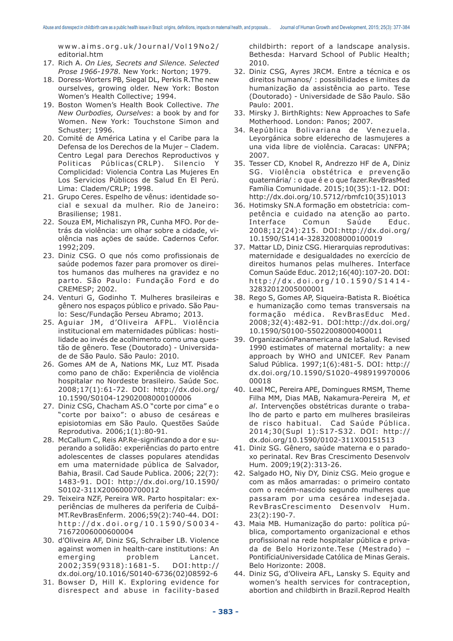www.aims.org.uk/Journal/Vol19No2/ editorial.htm

- 17. Rich A. *On Lies, Secrets and Silence. Selected Prose 1966-1978*. New York: Norton; 1979.
- 18. Doress-Worters PB, Siegal DL, Perkis R.The new ourselves, growing older. New York: Boston Women's Health Collective; 1994.
- 19. Boston Women's Health Book Collective. *The New Ourbodies, Ourselves*: a book by and for Women. New York: Touchstone Simon and Schuster; 1996.
- 20. Comité de América Latina y el Caribe para la Defensa de los Derechos de la Mujer – Cladem. Centro Legal para Derechos Reproductivos y Politicas Públicas(CRLP). Silencio Y Complicidad: Violencia Contra Las Mujeres En Los Servicios Públicos de Salud En El Perú. Lima: Cladem/CRLP; 1998.
- 21. Grupo Ceres. Espelho de vênus: identidade social e sexual da mulher. Rio de Janeiro: Brasiliense; 1981.
- 22. Souza EM, Michaliszyn PR, Cunha MFO. Por detrás da violência: um olhar sobre a cidade, violência nas açöes de saúde. Cadernos Cefor. 1992;209.
- 23. Diniz CSG. O que nós como profissionais de saúde podemos fazer para promover os direitos humanos das mulheres na gravidez e no parto. São Paulo: Fundação Ford e do CREMESP; 2002.
- 24. Venturi G, Godinho T. Mulheres brasileiras e gênero nos espaços público e privado. São Paulo: Sesc/Fundação Perseu Abramo; 2013.
- 25. Aguiar JM, d'Oliveira AFPL. Violência institucional em maternidades públicas: hostilidade ao invés de acolhimento como uma questão de gênero. Tese (Doutorado) - Universidade de São Paulo. São Paulo: 2010.
- 26. Gomes AM de A, Nations MK, Luz MT. Pisada como pano de chão: Experiência de violência hospitalar no Nordeste brasileiro. Saúde Soc. 2008;17(1):61-72. DOI: http://dx.doi.org/ 10.1590/S0104-12902008000100006
- 27. Diniz CSG, Chacham AS.O "corte por cima" e o "corte por baixo": o abuso de cesáreas e episiotomias em São Paulo. Questões Saúde Reprodutiva. 2006;1(1):80-91.
- 28. McCallum C, Reis AP.Re-significando a dor e superando a solidão: experiências do parto entre adolescentes de classes populares atendidas em uma maternidade pública de Salvador, Bahia, Brasil. Cad Saude Publica. 2006; 22(7): 1483-91. DOI: http://dx.doi.org/10.1590/ S0102-311X2006000700012
- 29. Teixeira NZF, Pereira WR. Parto hospitalar: experiências de mulheres da periferia de Cuibá-MT.RevBrasEnferm. 2006;59(2):740-44. DOI: http://dx.doi.org/10.1590/S0034- 71672006000600004
- 30. d'Oliveira AF, Diniz SG, Schraiber LB. Violence against women in health-care institutions: An emerging problem Lancet. 2002;359(9318):1681-5. DOI:http:// dx.doi.org/10.1016/S0140-6736(02)08592-6
- 31. Bowser D, Hill K. Exploring evidence for disrespect and abuse in facility-based

childbirth: report of a landscape analysis. Bethesda: Harvard School of Public Health; 2010.

- 32. Diniz CSG, Ayres JRCM. Entre a técnica e os direitos humanos/ : possibilidades e limites da humanização da assistência ao parto. Tese (Doutorado) - Universidade de São Paulo. São Paulo: 2001.
- 33. Mirsky J. BirthRights: New Approaches to Safe Motherhood. London: Panos; 2007.
- 34. República Bolivariana de Venezuela. Leyorgánica sobre elderecho de lasmujeres a una vida libre de violência. Caracas: UNFPA; 2007.
- 35. Tesser CD, Knobel R, Andrezzo HF de A, Diniz SG. Violência obstétrica e prevenção quaternária/ : o que é e o que fazer.RevBrasMed Família Comunidade. 2015;10(35):1-12. DOI: http://dx.doi.org/10.5712/rbmfc10(35)1013
- 36. Hotimsky SN.A formação em obstetrícia: competência e cuidado na atenção ao parto. Interface Comun Saúde Educ. 2008;12(24):215. DOI:http://dx.doi.org/ 10.1590/S1414-32832008000100019
- 37. Mattar LD, Diniz CSG. Hierarquias reprodutivas: maternidade e desigualdades no exercício de direitos humanos pelas mulheres. Interface Comun Saúde Educ. 2012;16(40):107-20. DOI: http://dx.doi.org/10.1590/S1414- 32832012005000001
- 38. Rego S, Gomes AP, Siqueira-Batista R. Bioética e humanização como temas transversais na formação médica. RevBrasEduc Med. 2008;32(4):482-91. DOI:http://dx.doi.org/ 10.1590/S0100-55022008000400011
- 39. OrganizaciónPanamericana de laSalud. Revised 1990 estimates of maternal mortality: a new approach by WHO and UNICEF. Rev Panam Salud Pública. 1997;1(6):481-5. DOI: http:// dx.doi.org/10.1590/S1020-498919970006 00018
- 40. Leal MC, Pereira APE, Domingues RMSM, Theme Filha MM, Dias MAB, Nakamura-Pereira M, *et al*. Intervenções obstétricas durante o trabalho de parto e parto em mulheres brasileiras de risco habitual. Cad Saúde Pública. 2014;30(Supl 1):S17-S32. DOI: http:// dx.doi.org/10.1590/0102-311X00151513
- 41. Diniz SG. Gênero, saúde materna e o paradoxo perinatal. Rev Bras Crescimento Desenvolv Hum. 2009;19(2):313-26.
- 42. Salgado HO, Niy DY, Diniz CSG. Meio grogue e com as mãos amarradas: o primeiro contato com o recém-nascido segundo mulheres que passaram por uma cesárea indesejada. RevBrasCrescimento Desenvolv Hum. 23(2):190-7.
- 43. Maia MB. Humanização do parto: política pública, comportamento organizacional e ethos profissional na rede hospitalar pública e privada de Belo Horizonte.Tese (Mestrado) – PontifíciaUniversidade Católica de Minas Gerais. Belo Horizonte: 2008.
- 44. Diniz SG, d'Oliveira AFL, Lansky S. Equity and women's health services for contraception, abortion and childbirth in Brazil.Reprod Health